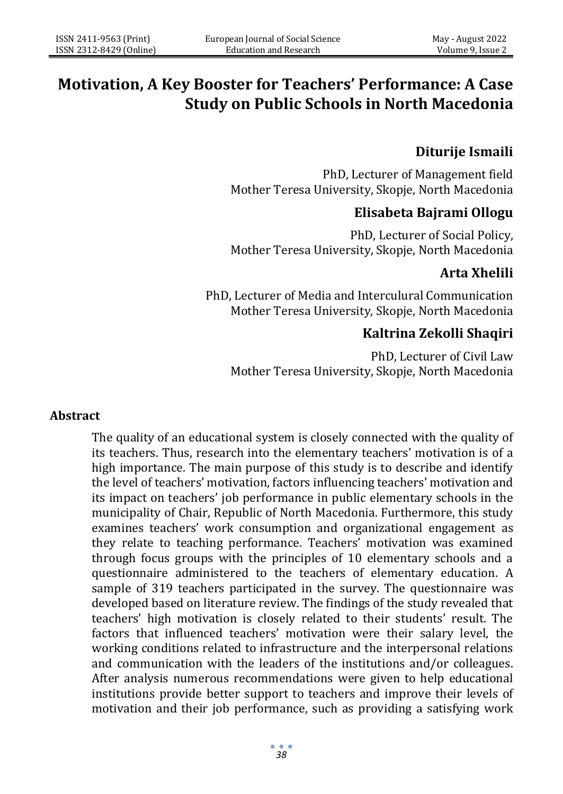# **Motivation, A Key Booster for Teachers' Performance: A Case Study on Public Schools in North Macedonia**

### **Diturije Ismaili**

PhD, Lecturer of Management field Mother Teresa University, Skopje, North Macedonia

### **Elisabeta Bajrami Ollogu**

PhD, Lecturer of Social Policy, Mother Teresa University, Skopje, North Macedonia

# **Arta Xhelili**

PhD, Lecturer of Media and Interculural Communication Mother Teresa University, Skopje, North Macedonia

# **Kaltrina Zekolli Shaqiri**

PhD, Lecturer of Civil Law Mother Teresa University, Skopje, North Macedonia

#### **Abstract**

The quality of an educational system is closely connected with the quality of its teachers. Thus, research into the elementary teachers' motivation is of a high importance. The main purpose of this study is to describe and identify the level of teachers' motivation, factors influencing teachers' motivation and its impact on teachers' job performance in public elementary schools in the municipality of Chair, Republic of North Macedonia. Furthermore, this study examines teachers' work consumption and organizational engagement as they relate to teaching performance. Teachers' motivation was examined through focus groups with the principles of 10 elementary schools and a questionnaire administered to the teachers of elementary education. A sample of 319 teachers participated in the survey. The questionnaire was developed based on literature review. The findings of the study revealed that teachers' high motivation is closely related to their students' result. The factors that influenced teachers' motivation were their salary level, the working conditions related to infrastructure and the interpersonal relations and communication with the leaders of the institutions and/or colleagues. After analysis numerous recommendations were given to help educational institutions provide better support to teachers and improve their levels of motivation and their job performance, such as providing a satisfying work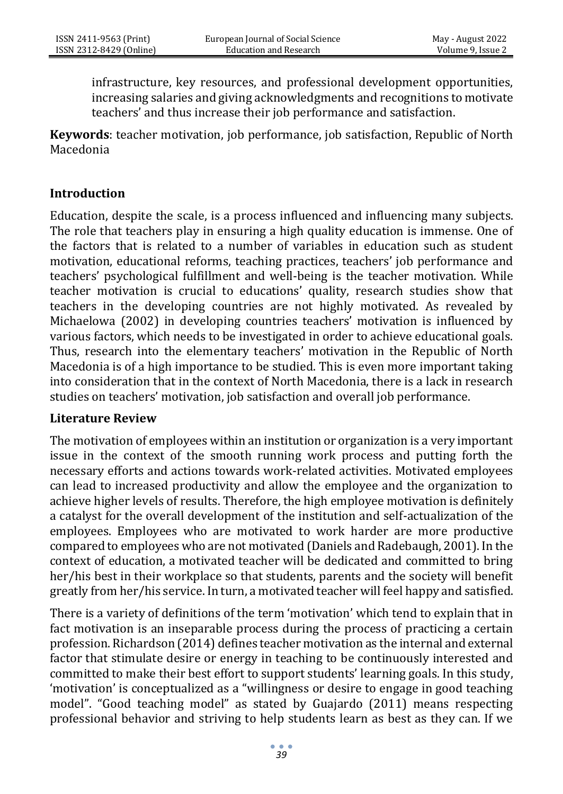infrastructure, key resources, and professional development opportunities, increasing salaries and giving acknowledgments and recognitions to motivate teachers' and thus increase their job performance and satisfaction.

**Keywords**: teacher motivation, job performance, job satisfaction, Republic of North Macedonia

#### **Introduction**

Education, despite the scale, is a process influenced and influencing many subjects. The role that teachers play in ensuring a high quality education is immense. One of the factors that is related to a number of variables in education such as student motivation, educational reforms, teaching practices, teachers' job performance and teachers' psychological fulfillment and well-being is the teacher motivation. While teacher motivation is crucial to educations' quality, research studies show that teachers in the developing countries are not highly motivated. As revealed by Michaelowa (2002) in developing countries teachers' motivation is influenced by various factors, which needs to be investigated in order to achieve educational goals. Thus, research into the elementary teachers' motivation in the Republic of North Macedonia is of a high importance to be studied. This is even more important taking into consideration that in the context of North Macedonia, there is a lack in research studies on teachers' motivation, job satisfaction and overall job performance.

#### **Literature Review**

The motivation of employees within an institution or organization is a very important issue in the context of the smooth running work process and putting forth the necessary efforts and actions towards work-related activities. Motivated employees can lead to increased productivity and allow the employee and the organization to achieve higher levels of results. Therefore, the high employee motivation is definitely a catalyst for the overall development of the institution and self-actualization of the employees. Employees who are motivated to work harder are more productive compared to employees who are not motivated (Daniels and Radebaugh, 2001). In the context of education, a motivated teacher will be dedicated and committed to bring her/his best in their workplace so that students, parents and the society will benefit greatly from her/his service. In turn, a motivated teacher will feel happy and satisfied.

There is a variety of definitions of the term 'motivation' which tend to explain that in fact motivation is an inseparable process during the process of practicing a certain profession. Richardson (2014) defines teacher motivation as the internal and external factor that stimulate desire or energy in teaching to be continuously interested and committed to make their best effort to support students' learning goals. In this study, 'motivation' is conceptualized as a "willingness or desire to engage in good teaching model". "Good teaching model" as stated by Guajardo (2011) means respecting professional behavior and striving to help students learn as best as they can. If we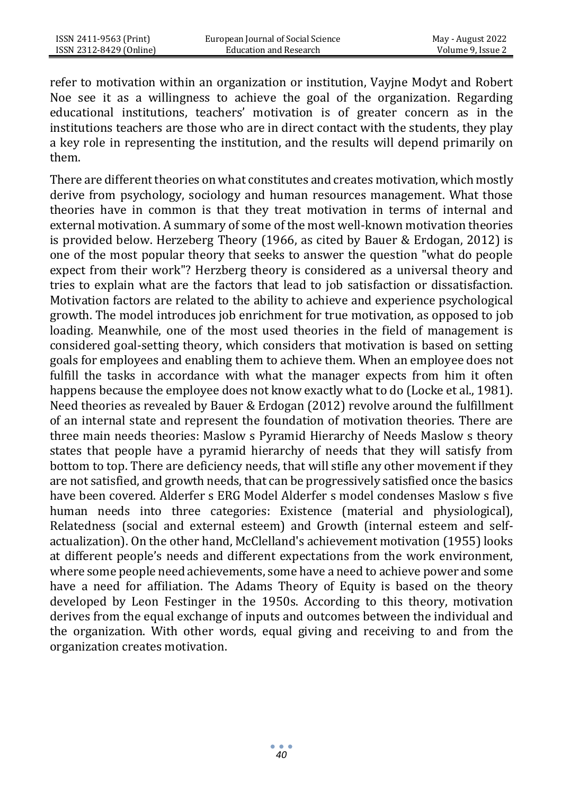refer to motivation within an organization or institution, Vayjne Modyt and Robert Noe see it as a willingness to achieve the goal of the organization. Regarding educational institutions, teachers' motivation is of greater concern as in the institutions teachers are those who are in direct contact with the students, they play a key role in representing the institution, and the results will depend primarily on them.

There are different theories on what constitutes and creates motivation, which mostly derive from psychology, sociology and human resources management. What those theories have in common is that they treat motivation in terms of internal and external motivation. A summary of some of the most well-known motivation theories is provided below. Herzeberg Theory (1966, as cited by Bauer & Erdogan, 2012) is one of the most popular theory that seeks to answer the question "what do people expect from their work"? Herzberg theory is considered as a universal theory and tries to explain what are the factors that lead to job satisfaction or dissatisfaction. Motivation factors are related to the ability to achieve and experience psychological growth. The model introduces job enrichment for true motivation, as opposed to job loading. Meanwhile, one of the most used theories in the field of management is considered goal-setting theory, which considers that motivation is based on setting goals for employees and enabling them to achieve them. When an employee does not fulfill the tasks in accordance with what the manager expects from him it often happens because the employee does not know exactly what to do (Locke et al., 1981). Need theories as revealed by Bauer & Erdogan (2012) revolve around the fulfillment of an internal state and represent the foundation of motivation theories. There are three main needs theories: Maslow s Pyramid Hierarchy of Needs Maslow s theory states that people have a pyramid hierarchy of needs that they will satisfy from bottom to top. There are deficiency needs, that will stifle any other movement if they are not satisfied, and growth needs, that can be progressively satisfied once the basics have been covered. Alderfer s ERG Model Alderfer s model condenses Maslow s five human needs into three categories: Existence (material and physiological), Relatedness (social and external esteem) and Growth (internal esteem and selfactualization). On the other hand, McClelland's achievement motivation (1955) looks at different people's needs and different expectations from the work environment, where some people need achievements, some have a need to achieve power and some have a need for affiliation. The Adams Theory of Equity is based on the theory developed by Leon Festinger in the 1950s. According to this theory, motivation derives from the equal exchange of inputs and outcomes between the individual and the organization. With other words, equal giving and receiving to and from the organization creates motivation.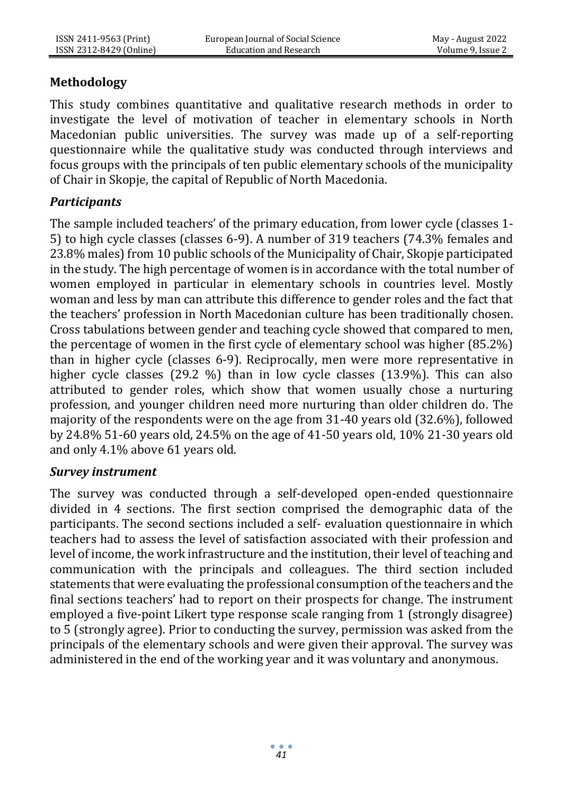### **Methodology**

This study combines quantitative and qualitative research methods in order to investigate the level of motivation of teacher in elementary schools in North Macedonian public universities. The survey was made up of a self-reporting questionnaire while the qualitative study was conducted through interviews and focus groups with the principals of ten public elementary schools of the municipality of Chair in Skopje, the capital of Republic of North Macedonia.

### *Participants*

The sample included teachers' of the primary education, from lower cycle (classes 1- 5) to high cycle classes (classes 6-9). A number of 319 teachers (74.3% females and 23.8% males) from 10 public schools of the Municipality of Chair, Skopje participated in the study. The high percentage of women is in accordance with the total number of women employed in particular in elementary schools in countries level. Mostly woman and less by man can attribute this difference to gender roles and the fact that the teachers' profession in North Macedonian culture has been traditionally chosen. Cross tabulations between gender and teaching cycle showed that compared to men, the percentage of women in the first cycle of elementary school was higher (85.2%) than in higher cycle (classes 6-9). Reciprocally, men were more representative in higher cycle classes (29.2 %) than in low cycle classes (13.9%). This can also attributed to gender roles, which show that women usually chose a nurturing profession, and younger children need more nurturing than older children do. The majority of the respondents were on the age from 31-40 years old (32.6%), followed by 24.8% 51-60 years old, 24.5% on the age of 41-50 years old, 10% 21-30 years old and only 4.1% above 61 years old.

### *Survey instrument*

The survey was conducted through a self-developed open-ended questionnaire divided in 4 sections. The first section comprised the demographic data of the participants. The second sections included a self- evaluation questionnaire in which teachers had to assess the level of satisfaction associated with their profession and level of income, the work infrastructure and the institution, their level of teaching and communication with the principals and colleagues. The third section included statements that were evaluating the professional consumption of the teachers and the final sections teachers' had to report on their prospects for change. The instrument employed a five-point Likert type response scale ranging from 1 (strongly disagree) to 5 (strongly agree). Prior to conducting the survey, permission was asked from the principals of the elementary schools and were given their approval. The survey was administered in the end of the working year and it was voluntary and anonymous.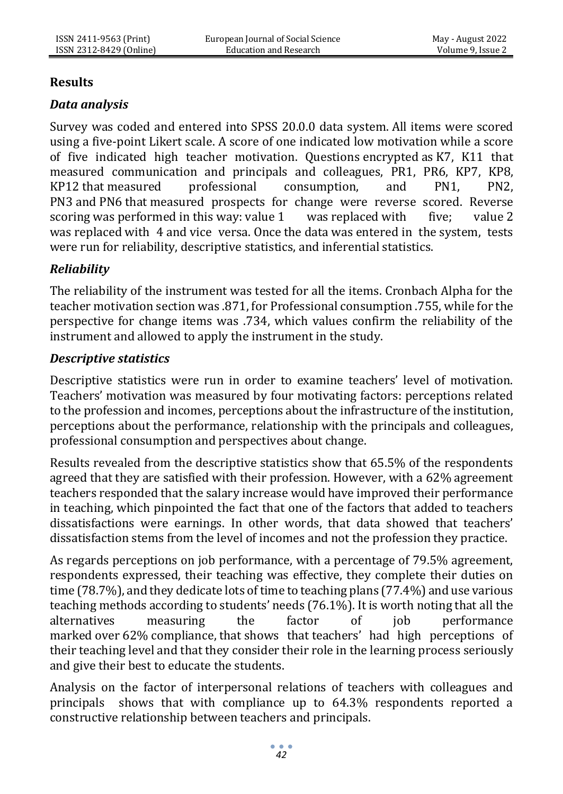### **Results**

# *Data analysis*

Survey was coded and entered into SPSS 20.0.0 data system. All items were scored using a five-point Likert scale. A score of one indicated low motivation while a score of five indicated high teacher motivation. Questions encrypted as K7, K11 that measured communication and principals and colleagues, PR1, PR6, KP7, KP8, KP12 that measured professional consumption, and PN1, PN2, PN3 and PN6 that measured prospects for change were reverse scored. Reverse scoring was performed in this way: value 1 was replaced with five; value 2 was replaced with 4 and vice versa. Once the data was entered in the system, tests were run for reliability, descriptive statistics, and inferential statistics.

# *Reliability*

The reliability of the instrument was tested for all the items. Cronbach Alpha for the teacher motivation section was .871, for Professional consumption .755, while for the perspective for change items was .734, which values confirm the reliability of the instrument and allowed to apply the instrument in the study.

### *Descriptive statistics*

Descriptive statistics were run in order to examine teachers' level of motivation. Teachers' motivation was measured by four motivating factors: perceptions related to the profession and incomes, perceptions about the infrastructure of the institution, perceptions about the performance, relationship with the principals and colleagues, professional consumption and perspectives about change.

Results revealed from the descriptive statistics show that 65.5% of the respondents agreed that they are satisfied with their profession. However, with a 62% agreement teachers responded that the salary increase would have improved their performance in teaching, which pinpointed the fact that one of the factors that added to teachers dissatisfactions were earnings. In other words, that data showed that teachers' dissatisfaction stems from the level of incomes and not the profession they practice.

As regards perceptions on job performance, with a percentage of 79.5% agreement, respondents expressed, their teaching was effective, they complete their duties on time (78.7%), and they dedicate lots of time to teaching plans (77.4%) and use various teaching methods according to students' needs (76.1%). It is worth noting that all the alternatives measuring the factor of job performance marked over 62% compliance, that shows that teachers' had high perceptions of their teaching level and that they consider their role in the learning process seriously and give their best to educate the students.

Analysis on the factor of interpersonal relations of teachers with colleagues and principals shows that with compliance up to 64.3% respondents reported a constructive relationship between teachers and principals.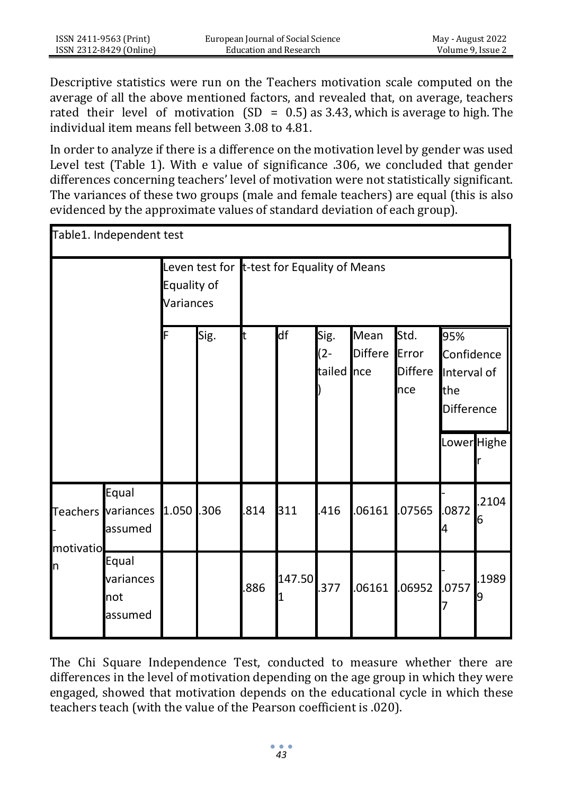Descriptive statistics were run on the Teachers motivation scale computed on the average of all the above mentioned factors, and revealed that, on average, teachers rated their level of motivation (SD =  $0.5$ ) as 3.43, which is average to high. The individual item means fell between 3.08 to 4.81.

In order to analyze if there is a difference on the motivation level by gender was used Level test (Table 1). With e value of significance .306, we concluded that gender differences concerning teachers' level of motivation were not statistically significant. The variances of these two groups (male and female teachers) are equal (this is also evidenced by the approximate values of standard deviation of each group).

| Table1. Independent test |                                        |            |                                             |     |        |                              |                        |                                        |                                                       |            |
|--------------------------|----------------------------------------|------------|---------------------------------------------|-----|--------|------------------------------|------------------------|----------------------------------------|-------------------------------------------------------|------------|
| Equality of<br>Variances |                                        |            | Leven test for t-test for Equality of Means |     |        |                              |                        |                                        |                                                       |            |
|                          |                                        | F          | Sig.                                        | t   | df     | Sig.<br>$(2 -$<br>tailed nce | Mean<br><b>Differe</b> | Std.<br>Error<br><b>Differe</b><br>nce | 95%<br>Confidence<br>Interval of<br>the<br>Difference |            |
|                          |                                        |            |                                             |     |        |                              |                        |                                        | Lower Highe                                           |            |
| motivatio                | Equal<br>Teachers variances<br>assumed | 1.050 .306 |                                             | 814 | 311    | .416                         | 06161                  | .07565                                 | .0872<br>4                                            | .2104<br>6 |
| 'n                       | Equal<br>variances<br>not<br>assumed   |            |                                             | 886 | 147.50 | .377                         | 06161                  | .06952                                 | .0757                                                 | .1989<br>9 |

The Chi Square Independence Test, conducted to measure whether there are differences in the level of motivation depending on the age group in which they were engaged, showed that motivation depends on the educational cycle in which these teachers teach (with the value of the Pearson coefficient is .020).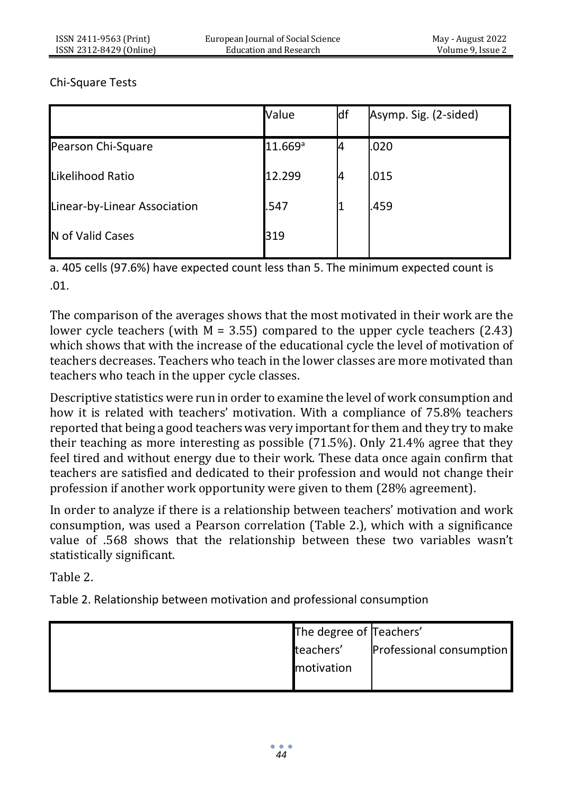#### Chi-Square Tests

|                              | Value               | df | Asymp. Sig. (2-sided) |
|------------------------------|---------------------|----|-----------------------|
| Pearson Chi-Square           | 11.669 <sup>a</sup> | 4  | .020                  |
| Likelihood Ratio             | 12.299              | И  | .015                  |
| Linear-by-Linear Association | .547                |    | .459                  |
| N of Valid Cases             | 319                 |    |                       |

a. 405 cells (97.6%) have expected count less than 5. The minimum expected count is .01.

The comparison of the averages shows that the most motivated in their work are the lower cycle teachers (with  $M = 3.55$ ) compared to the upper cycle teachers (2.43) which shows that with the increase of the educational cycle the level of motivation of teachers decreases. Teachers who teach in the lower classes are more motivated than teachers who teach in the upper cycle classes.

Descriptive statistics were run in order to examine the level of work consumption and how it is related with teachers' motivation. With a compliance of 75.8% teachers reported that being a good teachers was very important for them and they try to make their teaching as more interesting as possible (71.5%). Only 21.4% agree that they feel tired and without energy due to their work. These data once again confirm that teachers are satisfied and dedicated to their profession and would not change their profession if another work opportunity were given to them (28% agreement).

In order to analyze if there is a relationship between teachers' motivation and work consumption, was used a Pearson correlation (Table 2.), which with a significance value of .568 shows that the relationship between these two variables wasn't statistically significant.

Table 2.

Table 2. Relationship between motivation and professional consumption

| The degree of Teachers' |                          |
|-------------------------|--------------------------|
| teachers'               | Professional consumption |
| motivation              |                          |
|                         |                          |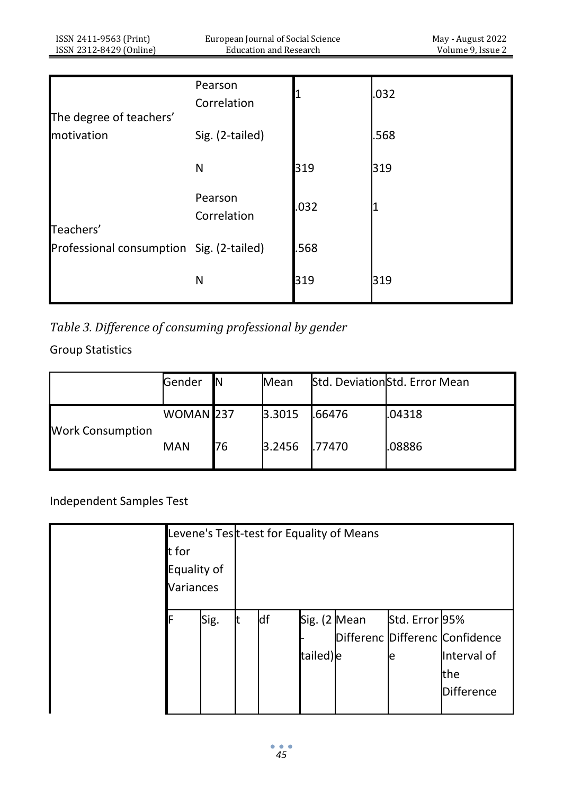| ISSN 2411-9563 (Print)<br>ISSN 2312-8429 (Online) | European Journal of Social Science<br><b>Education and Research</b> |      | May - August 2022<br>Volume 9, Issue 2 |
|---------------------------------------------------|---------------------------------------------------------------------|------|----------------------------------------|
|                                                   |                                                                     |      |                                        |
| The degree of teachers'                           | Pearson<br>Correlation                                              |      | .032                                   |
| motivation                                        | Sig. (2-tailed)                                                     |      | .568                                   |
|                                                   | N                                                                   | 319  | 319                                    |
| Teachers'                                         | Pearson<br>Correlation                                              | .032 |                                        |
| Professional consumption Sig. (2-tailed)          |                                                                     | .568 |                                        |
|                                                   | N                                                                   | 319  | 319                                    |

*Table 3. Difference of consuming professional by gender*

Group Statistics

|                         | Gender               | IN | Mean   |                | Std. DeviationStd. Error Mean |
|-------------------------|----------------------|----|--------|----------------|-------------------------------|
|                         | WOMAN <sub>237</sub> |    | 3.3015 | .66476         | .04318                        |
| <b>Work Consumption</b> | <b>MAN</b>           | 76 | 3.2456 | <b>I.77470</b> | .08886                        |

Independent Samples Test

|             |      |    |              | Levene's Test-test for Equality of Means |                |                                |  |  |
|-------------|------|----|--------------|------------------------------------------|----------------|--------------------------------|--|--|
| t for       |      |    |              |                                          |                |                                |  |  |
| Equality of |      |    |              |                                          |                |                                |  |  |
| Variances   |      |    |              |                                          |                |                                |  |  |
|             |      |    |              |                                          |                |                                |  |  |
| F           | Sig. | df | Sig. (2 Mean |                                          | Std. Error 95% |                                |  |  |
|             |      |    |              |                                          |                | Differenc Differenc Confidence |  |  |
|             |      |    | tailed)e     |                                          | e              | Interval of                    |  |  |
|             |      |    |              |                                          |                | the                            |  |  |
|             |      |    |              |                                          |                | <b>Difference</b>              |  |  |
|             |      |    |              |                                          |                |                                |  |  |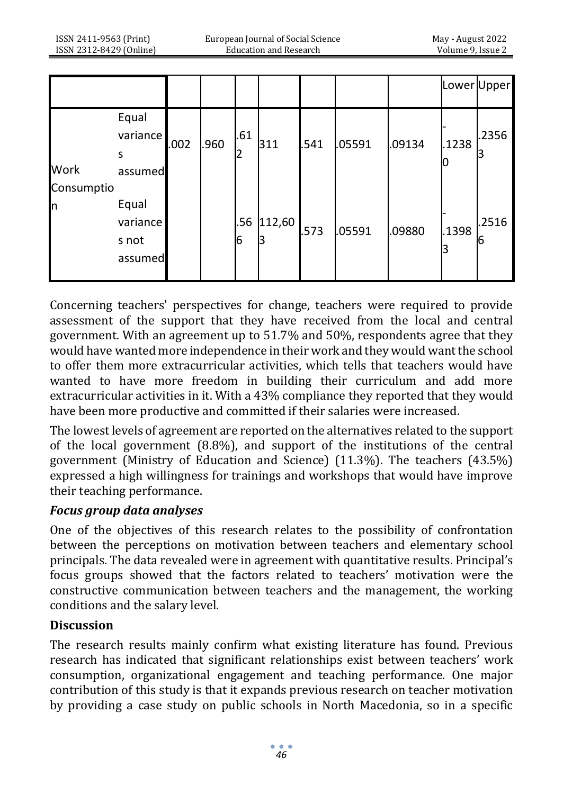|            |                                       |      |      |          |             |      |        |        |            | Lower Upper |
|------------|---------------------------------------|------|------|----------|-------------|------|--------|--------|------------|-------------|
| Work       | Equal<br>variance<br>S<br>assumed     | .002 | .960 | .61<br>2 | 311         | .541 | .05591 | .09134 | .1238      | .2356       |
| Consumptio |                                       |      |      |          |             |      |        |        |            |             |
| In         | Equal<br>variance<br>s not<br>assumed |      |      | .56<br>6 | 112,60<br>В | .573 | .05591 | .09880 | .1398<br>3 | .2516<br>16 |

Concerning teachers' perspectives for change, teachers were required to provide assessment of the support that they have received from the local and central government. With an agreement up to 51.7% and 50%, respondents agree that they would have wanted more independence in their work and they would want the school to offer them more extracurricular activities, which tells that teachers would have wanted to have more freedom in building their curriculum and add more extracurricular activities in it. With a 43% compliance they reported that they would have been more productive and committed if their salaries were increased.

The lowest levels of agreement are reported on the alternatives related to the support of the local government (8.8%), and support of the institutions of the central government (Ministry of Education and Science) (11.3%). The teachers (43.5%) expressed a high willingness for trainings and workshops that would have improve their teaching performance.

### *Focus group data analyses*

One of the objectives of this research relates to the possibility of confrontation between the perceptions on motivation between teachers and elementary school principals. The data revealed were in agreement with quantitative results. Principal's focus groups showed that the factors related to teachers' motivation were the constructive communication between teachers and the management, the working conditions and the salary level.

### **Discussion**

The research results mainly confirm what existing literature has found. Previous research has indicated that significant relationships exist between teachers' work consumption, organizational engagement and teaching performance. One major contribution of this study is that it expands previous research on teacher motivation by providing a case study on public schools in North Macedonia, so in a specific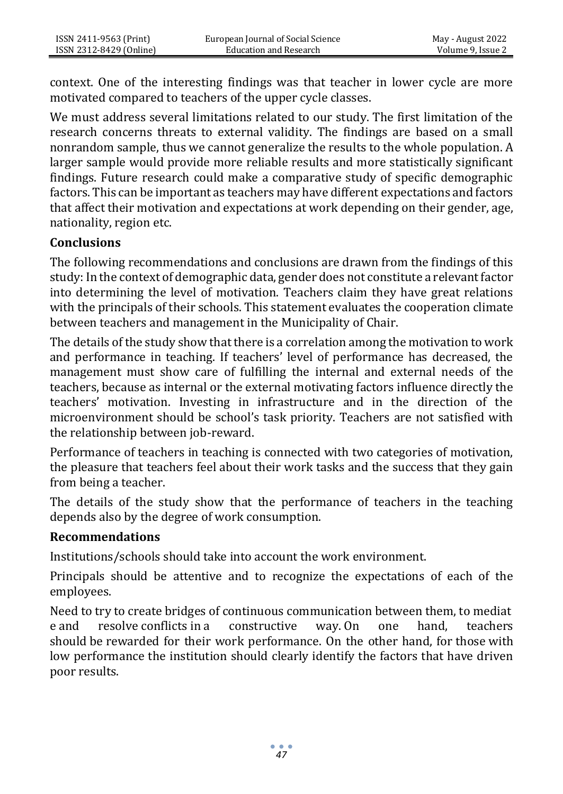context. One of the interesting findings was that teacher in lower cycle are more motivated compared to teachers of the upper cycle classes.

We must address several limitations related to our study. The first limitation of the research concerns threats to external validity. The findings are based on a small nonrandom sample, thus we cannot generalize the results to the whole population. A larger sample would provide more reliable results and more statistically significant findings. Future research could make a comparative study of specific demographic factors. This can be important as teachers may have different expectations and factors that affect their motivation and expectations at work depending on their gender, age, nationality, region etc.

#### **Conclusions**

The following recommendations and conclusions are drawn from the findings of this study: In the context of demographic data, gender does not constitute a relevant factor into determining the level of motivation. Teachers claim they have great relations with the principals of their schools. This statement evaluates the cooperation climate between teachers and management in the Municipality of Chair.

The details of the study show that there is a correlation among the motivation to work and performance in teaching. If teachers' level of performance has decreased, the management must show care of fulfilling the internal and external needs of the teachers, because as internal or the external motivating factors influence directly the teachers' motivation. Investing in infrastructure and in the direction of the microenvironment should be school's task priority. Teachers are not satisfied with the relationship between job-reward.

Performance of teachers in teaching is connected with two categories of motivation, the pleasure that teachers feel about their work tasks and the success that they gain from being a teacher.

The details of the study show that the performance of teachers in the teaching depends also by the degree of work consumption.

#### **Recommendations**

Institutions/schools should take into account the work environment.

Principals should be attentive and to recognize the expectations of each of the employees.

Need to try to create bridges of continuous communication between them, to mediat e and resolve conflicts in a constructive way. On one hand, teachers should be rewarded for their work performance. On the other hand, for those with low performance the institution should clearly identify the factors that have driven poor results.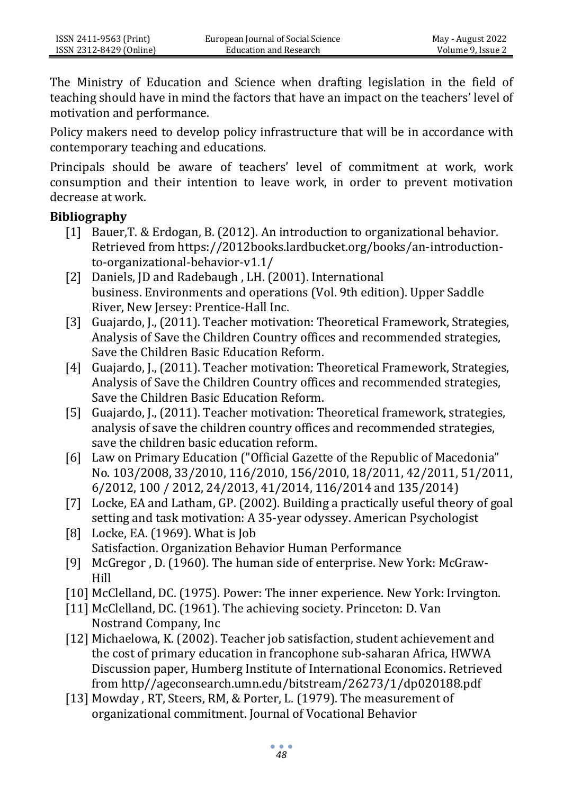The Ministry of Education and Science when drafting legislation in the field of teaching should have in mind the factors that have an impact on the teachers' level of motivation and performance.

Policy makers need to develop policy infrastructure that will be in accordance with contemporary teaching and educations.

Principals should be aware of teachers' level of commitment at work, work consumption and their intention to leave work, in order to prevent motivation decrease at work.

#### **Bibliography**

- [1] Bauer,T. & Erdogan, B. (2012). An introduction to organizational behavior. Retrieved from https://2012books.lardbucket.org/books/an-introductionto-organizational-behavior-v1.1/
- [2] Daniels, JD and Radebaugh, LH. (2001). International business. Environments and operations (Vol. 9th edition). Upper Saddle River, New Jersey: Prentice-Hall Inc.
- [3] Guajardo, J., (2011). Teacher motivation: Theoretical Framework, Strategies, Analysis of Save the Children Country offices and recommended strategies, Save the Children Basic Education Reform.
- [4] Guajardo, J., (2011). Teacher motivation: Theoretical Framework, Strategies, Analysis of Save the Children Country offices and recommended strategies, Save the Children Basic Education Reform.
- [5] Guajardo, J., (2011). Teacher motivation: Theoretical framework, strategies, analysis of save the children country offices and recommended strategies, save the children basic education reform.
- [6] Law on Primary Education ("Official Gazette of the Republic of Macedonia" No. 103/2008, 33/2010, 116/2010, 156/2010, 18/2011, 42/2011, 51/2011, 6/2012, 100 / 2012, 24/2013, 41/2014, 116/2014 and 135/2014)
- [7] Locke, EA and Latham, GP. (2002). Building a practically useful theory of goal setting and task motivation: A 35-year odyssey. American Psychologist
- [8] Locke, EA. (1969). What is Job Satisfaction. Organization Behavior Human Performance
- [9] McGregor , D. (1960). The human side of enterprise. New York: McGraw-Hill
- [10] McClelland, DC. (1975). Power: The inner experience. New York: Irvington.
- [11] McClelland, DC. (1961). The achieving society. Princeton: D. Van Nostrand Company, Inc
- [12] Michaelowa, K. (2002). Teacher job satisfaction, student achievement and the cost of primary education in francophone sub-saharan Africa, HWWA Discussion paper, Humberg Institute of International Economics. Retrieved from http//ageconsearch.umn.edu/bitstream/26273/1/dp020188.pdf
- [13] Mowday, RT, Steers, RM, & Porter, L. (1979). The measurement of organizational commitment. Journal of Vocational Behavior